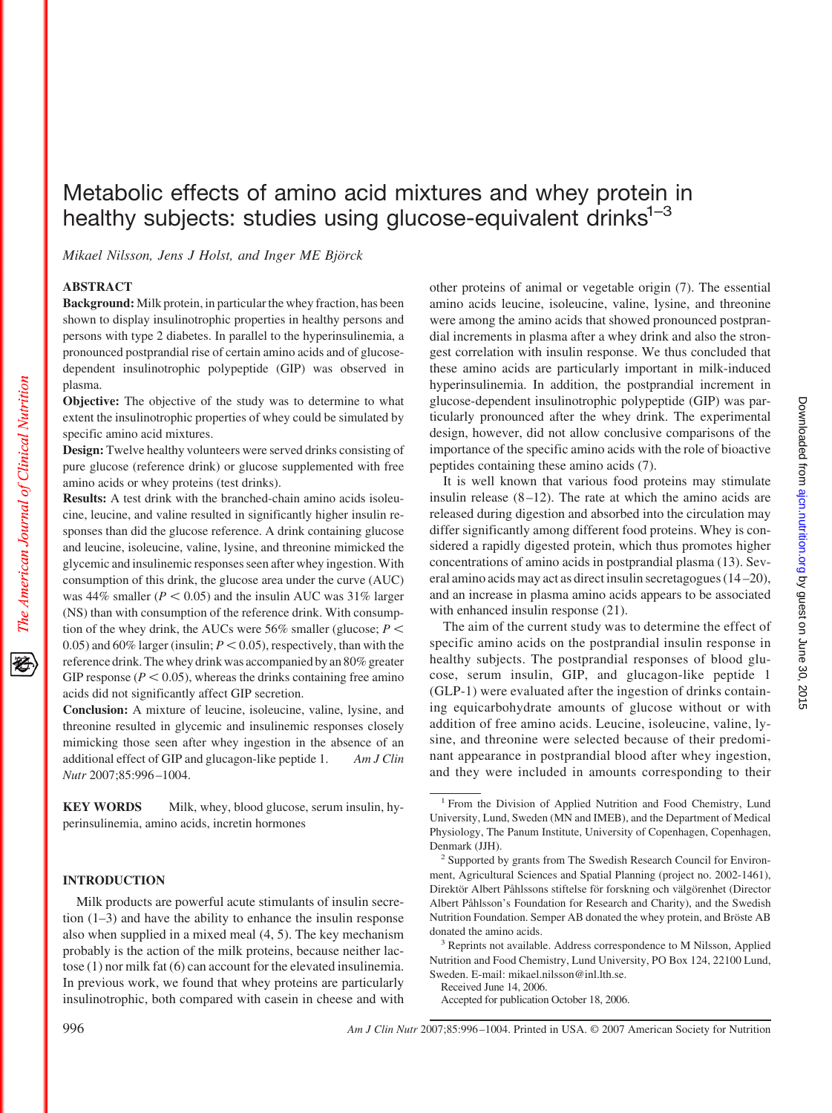# Metabolic effects of amino acid mixtures and whey protein in healthy subjects: studies using glucose-equivalent drinks<sup>1-3</sup>

*Mikael Nilsson, Jens J Holst, and Inger ME Björck*

# **ABSTRACT**

The American Journal of Clinical Nutrition

**Background:** Milk protein, in particular the whey fraction, has been shown to display insulinotrophic properties in healthy persons and persons with type 2 diabetes. In parallel to the hyperinsulinemia, a pronounced postprandial rise of certain amino acids and of glucosedependent insulinotrophic polypeptide (GIP) was observed in plasma.

**Objective:** The objective of the study was to determine to what extent the insulinotrophic properties of whey could be simulated by specific amino acid mixtures.

**Design:** Twelve healthy volunteers were served drinks consisting of pure glucose (reference drink) or glucose supplemented with free amino acids or whey proteins (test drinks).

**Results:** A test drink with the branched-chain amino acids isoleucine, leucine, and valine resulted in significantly higher insulin responses than did the glucose reference. A drink containing glucose and leucine, isoleucine, valine, lysine, and threonine mimicked the glycemic and insulinemic responses seen after whey ingestion. With consumption of this drink, the glucose area under the curve (AUC) was  $44\%$  smaller ( $P < 0.05$ ) and the insulin AUC was  $31\%$  larger (NS) than with consumption of the reference drink. With consumption of the whey drink, the AUCs were 56% smaller (glucose;  $P \leq$ 0.05) and 60% larger (insulin;  $P < 0.05$ ), respectively, than with the reference drink. The whey drink was accompanied by an 80% greater GIP response ( $P < 0.05$ ), whereas the drinks containing free amino acids did not significantly affect GIP secretion.

**Conclusion:** A mixture of leucine, isoleucine, valine, lysine, and threonine resulted in glycemic and insulinemic responses closely mimicking those seen after whey ingestion in the absence of an additional effect of GIP and glucagon-like peptide 1. *Am J Clin Nutr* 2007;85:996 –1004.

**KEY WORDS** Milk, whey, blood glucose, serum insulin, hyperinsulinemia, amino acids, incretin hormones

# **INTRODUCTION**

Milk products are powerful acute stimulants of insulin secretion (1–3) and have the ability to enhance the insulin response also when supplied in a mixed meal (4, 5). The key mechanism probably is the action of the milk proteins, because neither lactose (1) nor milk fat (6) can account for the elevated insulinemia. In previous work, we found that whey proteins are particularly insulinotrophic, both compared with casein in cheese and with

other proteins of animal or vegetable origin (7). The essential amino acids leucine, isoleucine, valine, lysine, and threonine were among the amino acids that showed pronounced postprandial increments in plasma after a whey drink and also the strongest correlation with insulin response. We thus concluded that these amino acids are particularly important in milk-induced hyperinsulinemia. In addition, the postprandial increment in glucose-dependent insulinotrophic polypeptide (GIP) was particularly pronounced after the whey drink. The experimental design, however, did not allow conclusive comparisons of the importance of the specific amino acids with the role of bioactive peptides containing these amino acids (7).

It is well known that various food proteins may stimulate insulin release  $(8-12)$ . The rate at which the amino acids are released during digestion and absorbed into the circulation may differ significantly among different food proteins. Whey is considered a rapidly digested protein, which thus promotes higher concentrations of amino acids in postprandial plasma (13). Several amino acids may act as direct insulin secretagogues (14 –20), and an increase in plasma amino acids appears to be associated with enhanced insulin response  $(21)$ .

The aim of the current study was to determine the effect of specific amino acids on the postprandial insulin response in healthy subjects. The postprandial responses of blood glucose, serum insulin, GIP, and glucagon-like peptide 1 (GLP-1) were evaluated after the ingestion of drinks containing equicarbohydrate amounts of glucose without or with addition of free amino acids. Leucine, isoleucine, valine, lysine, and threonine were selected because of their predominant appearance in postprandial blood after whey ingestion, and they were included in amounts corresponding to their

Accepted for publication October 18, 2006.

<sup>&</sup>lt;sup>1</sup> From the Division of Applied Nutrition and Food Chemistry, Lund University, Lund, Sweden (MN and IMEB), and the Department of Medical Physiology, The Panum Institute, University of Copenhagen, Copenhagen, Denmark (JJH).

<sup>&</sup>lt;sup>2</sup> Supported by grants from The Swedish Research Council for Environment, Agricultural Sciences and Spatial Planning (project no. 2002-1461), Direktör Albert Påhlssons stiftelse för forskning och välgörenhet (Director Albert Påhlsson's Foundation for Research and Charity), and the Swedish Nutrition Foundation. Semper AB donated the whey protein, and Bröste AB donated the amino acids.

<sup>&</sup>lt;sup>3</sup> Reprints not available. Address correspondence to M Nilsson, Applied Nutrition and Food Chemistry, Lund University, PO Box 124, 22100 Lund, Sweden. E-mail: mikael.nilsson@inl.lth.se.

Received June 14, 2006.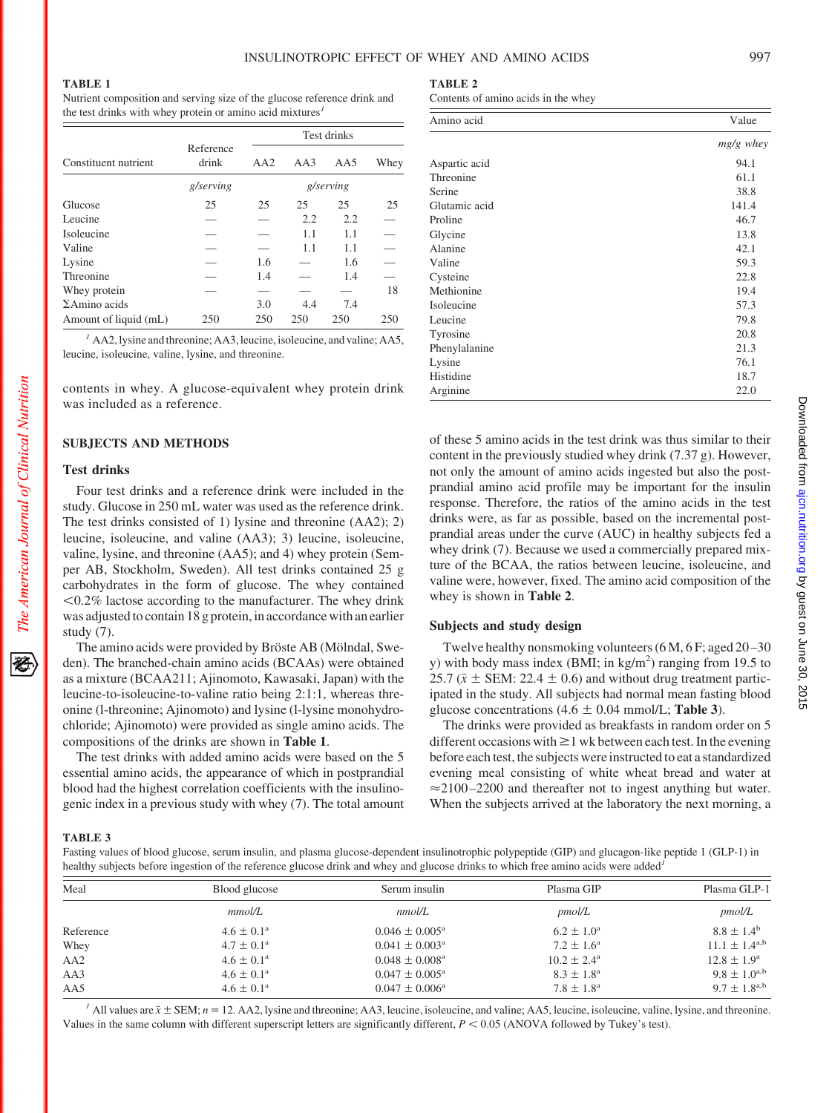Nutrient composition and serving size of the glucose reference drink and the test drinks with whey protein or amino acid mixtures*<sup>1</sup>*

|                       |                    | Test drinks |     |     |      |
|-----------------------|--------------------|-------------|-----|-----|------|
| Constituent nutrient  | Reference<br>drink | AA2         | AA3 | AA5 | Whey |
|                       | g/serving          | g/serving   |     |     |      |
| Glucose               | 25                 | 25          | 25  | 25  | 25   |
| Leucine               |                    |             | 2.2 | 2.2 |      |
| Isoleucine            |                    |             | 1.1 | 1.1 |      |
| Valine                |                    |             | 1.1 | 1.1 |      |
| Lysine                |                    | 1.6         |     | 1.6 |      |
| Threonine             |                    | 1.4         |     | 1.4 |      |
| Whey protein          |                    |             |     |     | 18   |
| $\Sigma$ Amino acids  |                    | 3.0         | 4.4 | 7.4 |      |
| Amount of liquid (mL) | 250                | 250         | 250 | 250 | 250  |

*<sup>1</sup>* AA2, lysine and threonine; AA3, leucine, isoleucine, and valine; AA5, leucine, isoleucine, valine, lysine, and threonine.

contents in whey. A glucose-equivalent whey protein drink was included as a reference.

# **SUBJECTS AND METHODS**

### **Test drinks**

Four test drinks and a reference drink were included in the study. Glucose in 250 mL water was used as the reference drink. The test drinks consisted of 1) lysine and threonine (AA2); 2) leucine, isoleucine, and valine (AA3); 3) leucine, isoleucine, valine, lysine, and threonine (AA5); and 4) whey protein (Semper AB, Stockholm, Sweden). All test drinks contained 25 g carbohydrates in the form of glucose. The whey contained  $\leq 0.2\%$  lactose according to the manufacturer. The whey drink was adjusted to contain 18 g protein, in accordance with an earlier study (7).

The amino acids were provided by Bröste AB (Mölndal, Sweden). The branched-chain amino acids (BCAAs) were obtained as a mixture (BCAA211; Ajinomoto, Kawasaki, Japan) with the leucine-to-isoleucine-to-valine ratio being 2:1:1, whereas threonine (l-threonine; Ajinomoto) and lysine (l-lysine monohydrochloride; Ajinomoto) were provided as single amino acids. The compositions of the drinks are shown in **Table 1**.

The test drinks with added amino acids were based on the 5 essential amino acids, the appearance of which in postprandial blood had the highest correlation coefficients with the insulinogenic index in a previous study with whey (7). The total amount **TABLE 2**

Contents of amino acids in the whey

| Amino acid    | Value     |
|---------------|-----------|
|               | mg/g whey |
| Aspartic acid | 94.1      |
| Threonine     | 61.1      |
| Serine        | 38.8      |
| Glutamic acid | 141.4     |
| Proline       | 46.7      |
| Glycine       | 13.8      |
| Alanine       | 42.1      |
| Valine        | 59.3      |
| Cysteine      | 22.8      |
| Methionine    | 19.4      |
| Isoleucine    | 57.3      |
| Leucine       | 79.8      |
| Tyrosine      | 20.8      |
| Phenylalanine | 21.3      |
| Lysine        | 76.1      |
| Histidine     | 18.7      |
| Arginine      | 22.0      |

of these 5 amino acids in the test drink was thus similar to their content in the previously studied whey drink (7.37 g). However, not only the amount of amino acids ingested but also the postprandial amino acid profile may be important for the insulin response. Therefore, the ratios of the amino acids in the test drinks were, as far as possible, based on the incremental postprandial areas under the curve (AUC) in healthy subjects fed a whey drink (7). Because we used a commercially prepared mixture of the BCAA, the ratios between leucine, isoleucine, and valine were, however, fixed. The amino acid composition of the whey is shown in **Table 2**.

## **Subjects and study design**

Twelve healthy nonsmoking volunteers (6 M, 6 F; aged 20 –30 y) with body mass index (BMI; in  $\text{kg/m}^2$ ) ranging from 19.5 to 25.7 ( $\bar{x}$  ± SEM: 22.4  $\pm$  0.6) and without drug treatment participated in the study. All subjects had normal mean fasting blood glucose concentrations  $(4.6 \pm 0.04 \text{ mmol/L}; \text{Table 3}).$ 

The drinks were provided as breakfasts in random order on 5 different occasions with  $\geq 1$  wk between each test. In the evening before each test, the subjects were instructed to eat a standardized evening meal consisting of white wheat bread and water at  $\approx$  2100 – 2200 and thereafter not to ingest anything but water. When the subjects arrived at the laboratory the next morning, a

**TABLE 3**

Fasting values of blood glucose, serum insulin, and plasma glucose-dependent insulinotrophic polypeptide (GIP) and glucagon-like peptide 1 (GLP-1) in healthy subjects before ingestion of the reference glucose drink and whey and glucose drinks to which free amino acids were added*<sup>1</sup>*

| Meal            | Blood glucose         | Serum insulin                  | Plasma GIP             | Plasma GLP-1           |
|-----------------|-----------------------|--------------------------------|------------------------|------------------------|
|                 | mmol/L                | nmol/L                         | pmol/L                 | pmol/L                 |
| Reference       | $4.6 \pm 0.1^{\circ}$ | $0.046 \pm 0.005^{\text{a}}$   | $6.2 \pm 1.0^{\circ}$  | $8.8 \pm 1.4^{\rm b}$  |
| Whey            | $4.7 \pm 0.1^{\rm a}$ | $0.041 \pm 0.003^{\text{a}}$   | $7.2 \pm 1.6^{\circ}$  | $11.1 \pm 1.4^{a,b}$   |
| AA <sub>2</sub> | $4.6 \pm 0.1^{\circ}$ | $0.048 \pm 0.008$ <sup>a</sup> | $10.2 \pm 2.4^{\circ}$ | $12.8 \pm 1.9^{\rm a}$ |
| AA3             | $4.6 \pm 0.1^{\circ}$ | $0.047 \pm 0.005^{\text{a}}$   | $8.3 \pm 1.8^{\rm a}$  | $9.8 \pm 1.0^{a,b}$    |
| AA5             | $4.6 \pm 0.1^{\circ}$ | $0.047 \pm 0.006^{\text{a}}$   | $7.8 \pm 1.8^{\rm a}$  | $9.7 \pm 1.8^{a,b}$    |
|                 |                       |                                |                        |                        |

<sup>1</sup> All values are  $\bar{x} \pm \text{SEM}$ ;  $n = 12$ . AA2, lysine and threonine; AA3, leucine, isoleucine, and valine; AA5, leucine, isoleucine, valine, lysine, and threonine. Values in the same column with different superscript letters are significantly different,  $P < 0.05$  (ANOVA followed by Tukey's test).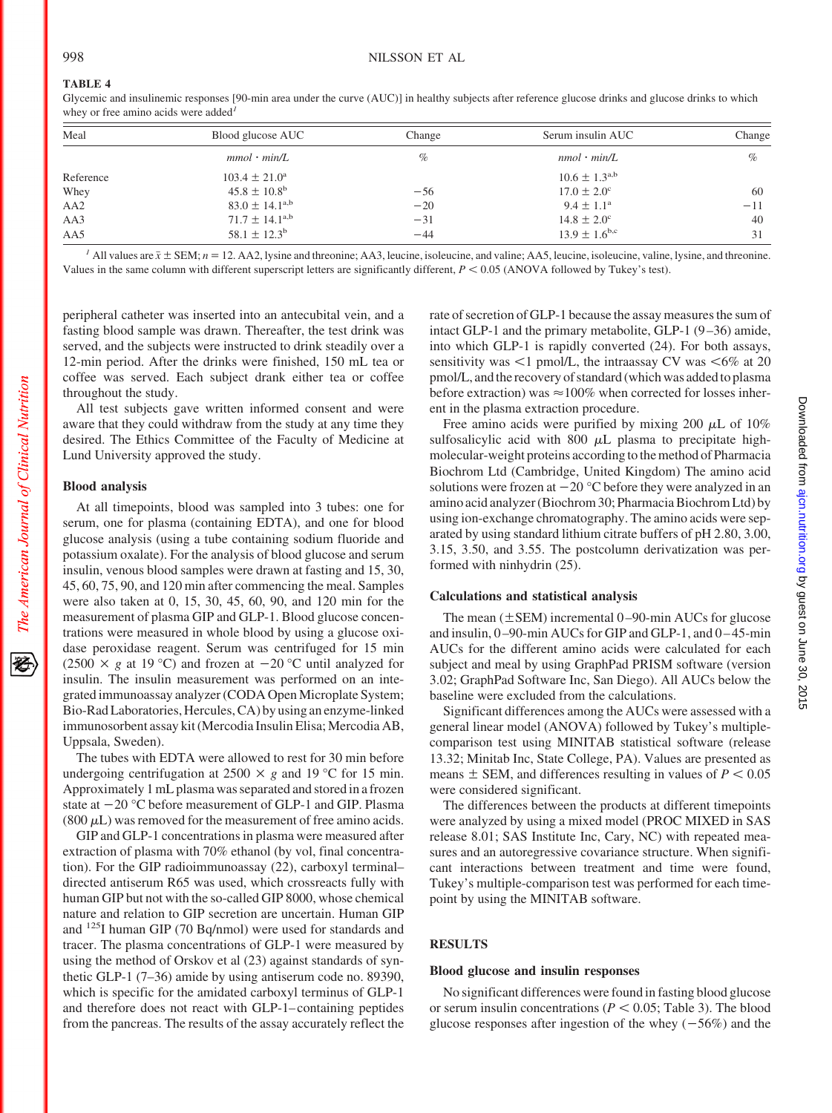Glycemic and insulinemic responses [90-min area under the curve (AUC)] in healthy subjects after reference glucose drinks and glucose drinks to which whey or free amino acids were added*<sup>1</sup>*

| Meal            | Blood glucose AUC            | Change | Serum insulin AUC        | Change |
|-----------------|------------------------------|--------|--------------------------|--------|
|                 | $mmol \cdot min/L$           | $\%$   | $nmol \cdot min/L$       | $\%$   |
| Reference       | $103.4 \pm 21.0^{\circ}$     |        | $10.6 \pm 1.3^{a,b}$     |        |
| Whey            | $45.8 \pm 10.8^{\rm b}$      | $-56$  | $17.0 \pm 2.0^{\circ}$   | 60     |
| AA <sub>2</sub> | $83.0 \pm 14.1^{\text{a,b}}$ | $-20$  | $9.4 \pm 1.1^{\circ}$    | $-11$  |
| AA3             | $71.7 \pm 14.1^{a,b}$        | $-31$  | $14.8 \pm 2.0^{\circ}$   | 40     |
| AA5             | $58.1 \pm 12.3^{\rm b}$      | $-44$  | $13.9 \pm 1.6^{\rm b,c}$ | 31     |

<sup>1</sup> All values are  $\bar{x} \pm \text{SEM}$ ;  $n = 12$ . AA2, lysine and threonine; AA3, leucine, isoleucine, and valine; AA5, leucine, isoleucine, valine, lysine, and threonine. Values in the same column with different superscript letters are significantly different,  $P < 0.05$  (ANOVA followed by Tukey's test).

peripheral catheter was inserted into an antecubital vein, and a fasting blood sample was drawn. Thereafter, the test drink was served, and the subjects were instructed to drink steadily over a 12-min period. After the drinks were finished, 150 mL tea or coffee was served. Each subject drank either tea or coffee throughout the study.

All test subjects gave written informed consent and were aware that they could withdraw from the study at any time they desired. The Ethics Committee of the Faculty of Medicine at Lund University approved the study.

# **Blood analysis**

The American Journal of Clinical Nutrition

At all timepoints, blood was sampled into 3 tubes: one for serum, one for plasma (containing EDTA), and one for blood glucose analysis (using a tube containing sodium fluoride and potassium oxalate). For the analysis of blood glucose and serum insulin, venous blood samples were drawn at fasting and 15, 30, 45, 60, 75, 90, and 120 min after commencing the meal. Samples were also taken at 0, 15, 30, 45, 60, 90, and 120 min for the measurement of plasma GIP and GLP-1. Blood glucose concentrations were measured in whole blood by using a glucose oxidase peroxidase reagent. Serum was centrifuged for 15 min (2500  $\times$  g at 19 °C) and frozen at  $-20$  °C until analyzed for insulin. The insulin measurement was performed on an integrated immunoassay analyzer (CODA Open Microplate System; Bio-Rad Laboratories, Hercules, CA) by using an enzyme-linked immunosorbent assay kit (Mercodia Insulin Elisa; Mercodia AB, Uppsala, Sweden).

The tubes with EDTA were allowed to rest for 30 min before undergoing centrifugation at  $2500 \times g$  and 19 °C for 15 min. Approximately 1 mL plasma was separated and stored in a frozen state at  $-20$  °C before measurement of GLP-1 and GIP. Plasma  $(800 \mu L)$  was removed for the measurement of free amino acids.

GIP and GLP-1 concentrations in plasma were measured after extraction of plasma with 70% ethanol (by vol, final concentration). For the GIP radioimmunoassay (22), carboxyl terminal– directed antiserum R65 was used, which crossreacts fully with human GIP but not with the so-called GIP 8000, whose chemical nature and relation to GIP secretion are uncertain. Human GIP and 125I human GIP (70 Bq/nmol) were used for standards and tracer. The plasma concentrations of GLP-1 were measured by using the method of Orskov et al (23) against standards of synthetic GLP-1 (7–36) amide by using antiserum code no. 89390, which is specific for the amidated carboxyl terminus of GLP-1 and therefore does not react with GLP-1– containing peptides from the pancreas. The results of the assay accurately reflect the

rate of secretion of GLP-1 because the assay measures the sum of intact GLP-1 and the primary metabolite, GLP-1 (9 –36) amide, into which GLP-1 is rapidly converted (24). For both assays, sensitivity was  $\leq 1$  pmol/L, the intraassay CV was  $\leq 6\%$  at 20 pmol/L, and the recovery of standard (which was added to plasma before extraction) was  $\approx 100\%$  when corrected for losses inherent in the plasma extraction procedure.

Free amino acids were purified by mixing 200  $\mu$ L of 10% sulfosalicylic acid with 800  $\mu$ L plasma to precipitate highmolecular-weight proteins according to the method of Pharmacia Biochrom Ltd (Cambridge, United Kingdom) The amino acid solutions were frozen at  $-20$  °C before they were analyzed in an amino acid analyzer (Biochrom 30; Pharmacia Biochrom Ltd) by using ion-exchange chromatography. The amino acids were separated by using standard lithium citrate buffers of pH 2.80, 3.00, 3.15, 3.50, and 3.55. The postcolumn derivatization was performed with ninhydrin (25).

#### **Calculations and statistical analysis**

The mean  $(\pm$  SEM) incremental 0–90-min AUCs for glucose and insulin, 0-90-min AUCs for GIP and GLP-1, and 0-45-min AUCs for the different amino acids were calculated for each subject and meal by using GraphPad PRISM software (version 3.02; GraphPad Software Inc, San Diego). All AUCs below the baseline were excluded from the calculations.

Significant differences among the AUCs were assessed with a general linear model (ANOVA) followed by Tukey's multiplecomparison test using MINITAB statistical software (release 13.32; Minitab Inc, State College, PA). Values are presented as means  $\pm$  SEM, and differences resulting in values of  $P < 0.05$ were considered significant.

The differences between the products at different timepoints were analyzed by using a mixed model (PROC MIXED in SAS release 8.01; SAS Institute Inc, Cary, NC) with repeated measures and an autoregressive covariance structure. When significant interactions between treatment and time were found, Tukey's multiple-comparison test was performed for each timepoint by using the MINITAB software.

# **RESULTS**

#### **Blood glucose and insulin responses**

No significant differences were found in fasting blood glucose or serum insulin concentrations ( $P < 0.05$ ; Table 3). The blood glucose responses after ingestion of the whey  $(-56%)$  and the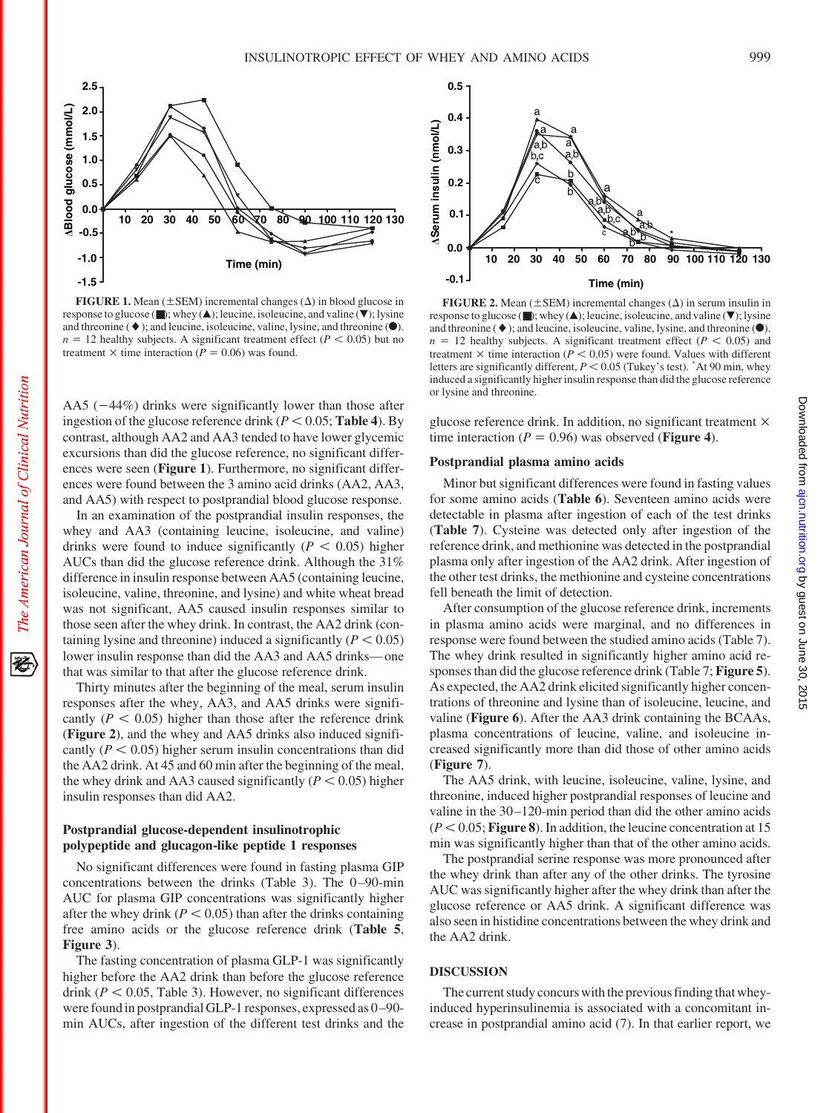

**FIGURE 1.** Mean  $(\pm$  SEM) incremental changes  $(\Delta)$  in blood glucose in response to glucose ( $\blacksquare$ ); whey ( $\blacktriangle$ ); leucine, isoleucine, and valine ( $\nabla$ ); lysine and threonine  $(\blacklozenge)$ ; and leucine, isoleucine, valine, lysine, and threonine  $(\blacklozenge)$ .  $n = 12$  healthy subjects. A significant treatment effect ( $P < 0.05$ ) but no treatment  $\times$  time interaction ( $P = 0.06$ ) was found.

AA5  $(-44%)$  drinks were significantly lower than those after ingestion of the glucose reference drink ( $P < 0.05$ ; Table 4). By contrast, although AA2 and AA3 tended to have lower glycemic excursions than did the glucose reference, no significant differences were seen (**Figure 1**). Furthermore, no significant differences were found between the 3 amino acid drinks (AA2, AA3, and AA5) with respect to postprandial blood glucose response.

In an examination of the postprandial insulin responses, the whey and AA3 (containing leucine, isoleucine, and valine) drinks were found to induce significantly  $(P < 0.05)$  higher AUCs than did the glucose reference drink. Although the 31% difference in insulin response between AA5 (containing leucine, isoleucine, valine, threonine, and lysine) and white wheat bread was not significant, AA5 caused insulin responses similar to those seen after the whey drink. In contrast, the AA2 drink (containing lysine and threonine) induced a significantly  $(P < 0.05)$ lower insulin response than did the AA3 and AA5 drinks— one that was similar to that after the glucose reference drink.

Thirty minutes after the beginning of the meal, serum insulin responses after the whey, AA3, and AA5 drinks were significantly ( $P < 0.05$ ) higher than those after the reference drink (**Figure 2**), and the whey and AA5 drinks also induced significantly  $(P < 0.05)$  higher serum insulin concentrations than did the AA2 drink. At 45 and 60 min after the beginning of the meal, the whey drink and AA3 caused significantly  $(P < 0.05)$  higher insulin responses than did AA2.

# **Postprandial glucose-dependent insulinotrophic polypeptide and glucagon-like peptide 1 responses**

No significant differences were found in fasting plasma GIP concentrations between the drinks (Table 3). The 0 –90-min AUC for plasma GIP concentrations was significantly higher after the whey drink ( $P < 0.05$ ) than after the drinks containing free amino acids or the glucose reference drink (**Table 5**, **Figure 3**).

The fasting concentration of plasma GLP-1 was significantly higher before the AA2 drink than before the glucose reference drink  $(P < 0.05$ , Table 3). However, no significant differences were found in postprandial GLP-1 responses, expressed as 0 –90 min AUCs, after ingestion of the different test drinks and the



**FIGURE 2.** Mean  $(\pm$  SEM) incremental changes  $(\Delta)$  in serum insulin in response to glucose ( $\blacksquare$ ); whey ( $\blacktriangle$ ); leucine, isoleucine, and valine ( $\nabla$ ); lysine and threonine  $(\blacklozenge)$ ; and leucine, isoleucine, valine, lysine, and threonine  $(\blacklozenge)$ .  $n = 12$  healthy subjects. A significant treatment effect ( $P < 0.05$ ) and treatment  $\times$  time interaction ( $\overline{P}$  < 0.05) were found. Values with different letters are significantly different,  $P < 0.05$  (Tukey's test).  $*$ At 90 min, whey induced a significantly higher insulin response than did the glucose reference or lysine and threonine.

glucose reference drink. In addition, no significant treatment time interaction ( $P = 0.96$ ) was observed (**Figure 4**).

#### **Postprandial plasma amino acids**

Minor but significant differences were found in fasting values for some amino acids (**Table 6**). Seventeen amino acids were detectable in plasma after ingestion of each of the test drinks (**Table 7**). Cysteine was detected only after ingestion of the reference drink, and methionine was detected in the postprandial plasma only after ingestion of the AA2 drink. After ingestion of the other test drinks, the methionine and cysteine concentrations fell beneath the limit of detection.

After consumption of the glucose reference drink, increments in plasma amino acids were marginal, and no differences in response were found between the studied amino acids (Table 7). The whey drink resulted in significantly higher amino acid responses than did the glucose reference drink (Table 7; **Figure 5**). As expected, the AA2 drink elicited significantly higher concentrations of threonine and lysine than of isoleucine, leucine, and valine (**Figure 6**). After the AA3 drink containing the BCAAs, plasma concentrations of leucine, valine, and isoleucine increased significantly more than did those of other amino acids (**Figure 7**).

The AA5 drink, with leucine, isoleucine, valine, lysine, and threonine, induced higher postprandial responses of leucine and valine in the 30 –120-min period than did the other amino acids  $(P < 0.05;$  **Figure 8**). In addition, the leucine concentration at 15 min was significantly higher than that of the other amino acids.

The postprandial serine response was more pronounced after the whey drink than after any of the other drinks. The tyrosine AUC was significantly higher after the whey drink than after the glucose reference or AA5 drink. A significant difference was also seen in histidine concentrations between the whey drink and the AA2 drink.

#### **DISCUSSION**

The current study concurs with the previous finding that wheyinduced hyperinsulinemia is associated with a concomitant increase in postprandial amino acid (7). In that earlier report, we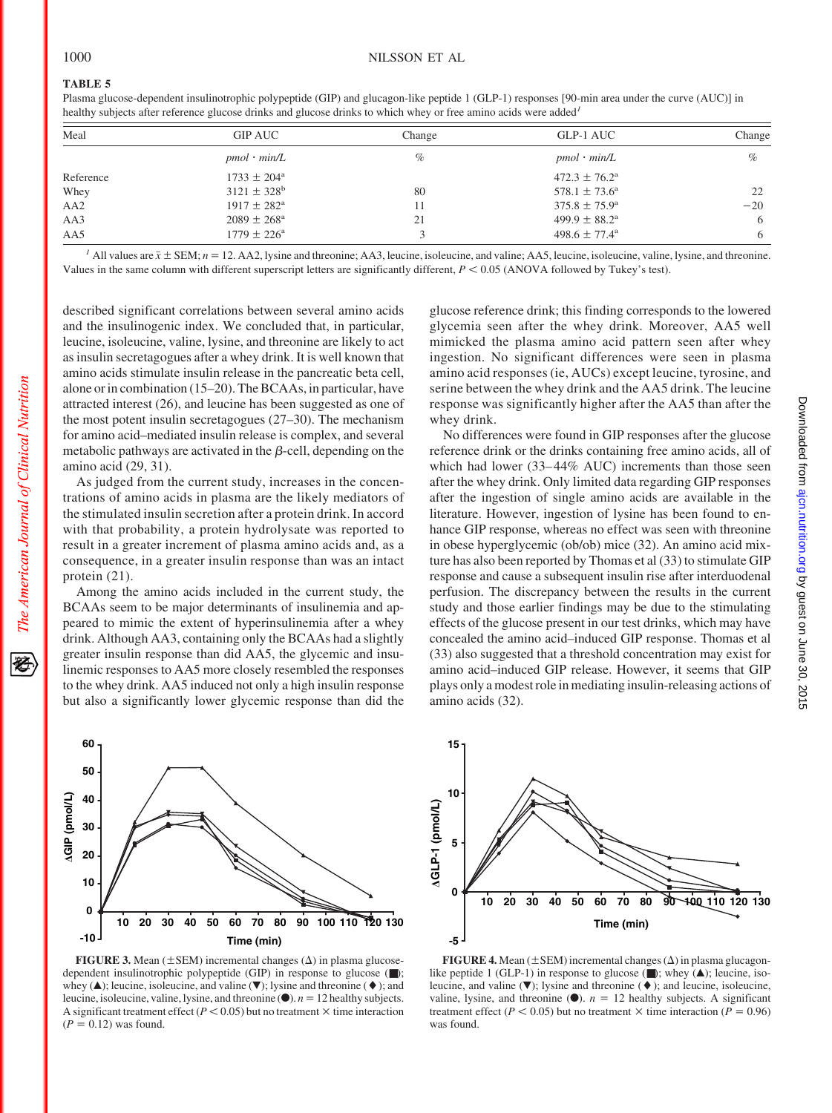Plasma glucose-dependent insulinotrophic polypeptide (GIP) and glucagon-like peptide 1 (GLP-1) responses [90-min area under the curve (AUC)] in healthy subjects after reference glucose drinks and glucose drinks to which whey or free amino acids were added*<sup>1</sup>*

| Meal            | <b>GIP AUC</b>         | Change | GLP-1 AUC                | Change |
|-----------------|------------------------|--------|--------------------------|--------|
|                 | $pmol \cdot min/L$     | %      | $pmol \cdot min/L$       | $\%$   |
| Reference       | $1733 \pm 204^{\circ}$ |        | $472.3 \pm 76.2^{\circ}$ |        |
| Whey            | $3121 \pm 328^b$       | 80     | $578.1 \pm 73.6^{\circ}$ | 22     |
| AA <sub>2</sub> | $1917 \pm 282^{\rm a}$ |        | $375.8 \pm 75.9^{\circ}$ | $-20$  |
| AA3             | $2089 \pm 268^{\circ}$ | 21     | $499.9 \pm 88.2^{\circ}$ | 6      |
| AA5             | $1779 \pm 226^{\circ}$ |        | $498.6 \pm 77.4^{\circ}$ | 6      |

<sup>1</sup> All values are  $\bar{x} \pm \text{SEM}$ ;  $n = 12$ . AA2, lysine and threonine; AA3, leucine, isoleucine, and valine; AA5, leucine, isoleucine, valine, lysine, and threonine. Values in the same column with different superscript letters are significantly different,  $P < 0.05$  (ANOVA followed by Tukey's test).

described significant correlations between several amino acids and the insulinogenic index. We concluded that, in particular, leucine, isoleucine, valine, lysine, and threonine are likely to act as insulin secretagogues after a whey drink. It is well known that amino acids stimulate insulin release in the pancreatic beta cell, alone or in combination (15–20). The BCAAs, in particular, have attracted interest (26), and leucine has been suggested as one of the most potent insulin secretagogues (27–30). The mechanism for amino acid–mediated insulin release is complex, and several metabolic pathways are activated in the  $\beta$ -cell, depending on the amino acid (29, 31).

As judged from the current study, increases in the concentrations of amino acids in plasma are the likely mediators of the stimulated insulin secretion after a protein drink. In accord with that probability, a protein hydrolysate was reported to result in a greater increment of plasma amino acids and, as a consequence, in a greater insulin response than was an intact protein (21).

Among the amino acids included in the current study, the BCAAs seem to be major determinants of insulinemia and appeared to mimic the extent of hyperinsulinemia after a whey drink. Although AA3, containing only the BCAAs had a slightly greater insulin response than did AA5, the glycemic and insulinemic responses to AA5 more closely resembled the responses to the whey drink. AA5 induced not only a high insulin response but also a significantly lower glycemic response than did the glucose reference drink; this finding corresponds to the lowered glycemia seen after the whey drink. Moreover, AA5 well mimicked the plasma amino acid pattern seen after whey ingestion. No significant differences were seen in plasma amino acid responses (ie, AUCs) except leucine, tyrosine, and serine between the whey drink and the AA5 drink. The leucine response was significantly higher after the AA5 than after the whey drink.

No differences were found in GIP responses after the glucose reference drink or the drinks containing free amino acids, all of which had lower (33–44% AUC) increments than those seen after the whey drink. Only limited data regarding GIP responses after the ingestion of single amino acids are available in the literature. However, ingestion of lysine has been found to enhance GIP response, whereas no effect was seen with threonine in obese hyperglycemic (ob/ob) mice (32). An amino acid mixture has also been reported by Thomas et al (33) to stimulate GIP response and cause a subsequent insulin rise after interduodenal perfusion. The discrepancy between the results in the current study and those earlier findings may be due to the stimulating effects of the glucose present in our test drinks, which may have concealed the amino acid–induced GIP response. Thomas et al (33) also suggested that a threshold concentration may exist for amino acid–induced GIP release. However, it seems that GIP plays only a modest role in mediating insulin-releasing actions of amino acids (32).



**FIGURE 3.** Mean  $(\pm$  SEM) incremental changes  $(\Delta)$  in plasma glucosedependent insulinotrophic polypeptide (GIP) in response to glucose (■); whey ( $\blacktriangle$ ); leucine, isoleucine, and valine ( $\nabla$ ); lysine and threonine ( $\blacklozenge$ ); and leucine, isoleucine, valine, lysine, and threonine  $(\bullet)$ . *n* = 12 healthy subjects. A significant treatment effect ( $P < 0.05$ ) but no treatment  $\times$  time interaction  $(P = 0.12)$  was found.



**FIGURE 4.** Mean  $(\pm$  SEM) incremental changes  $(\Delta)$  in plasma glucagonlike peptide 1 (GLP-1) in response to glucose  $(\blacksquare)$ ; whey  $(\blacktriangle)$ ; leucine, isoleucine, and valine  $(\blacktriangledown)$ ; lysine and threonine  $(\blacklozenge)$ ; and leucine, isoleucine, valine, lysine, and threonine  $\circ$ ). *n* = 12 healthy subjects. A significant treatment effect ( $P < 0.05$ ) but no treatment  $\times$  time interaction ( $P = 0.96$ ) was found.

豾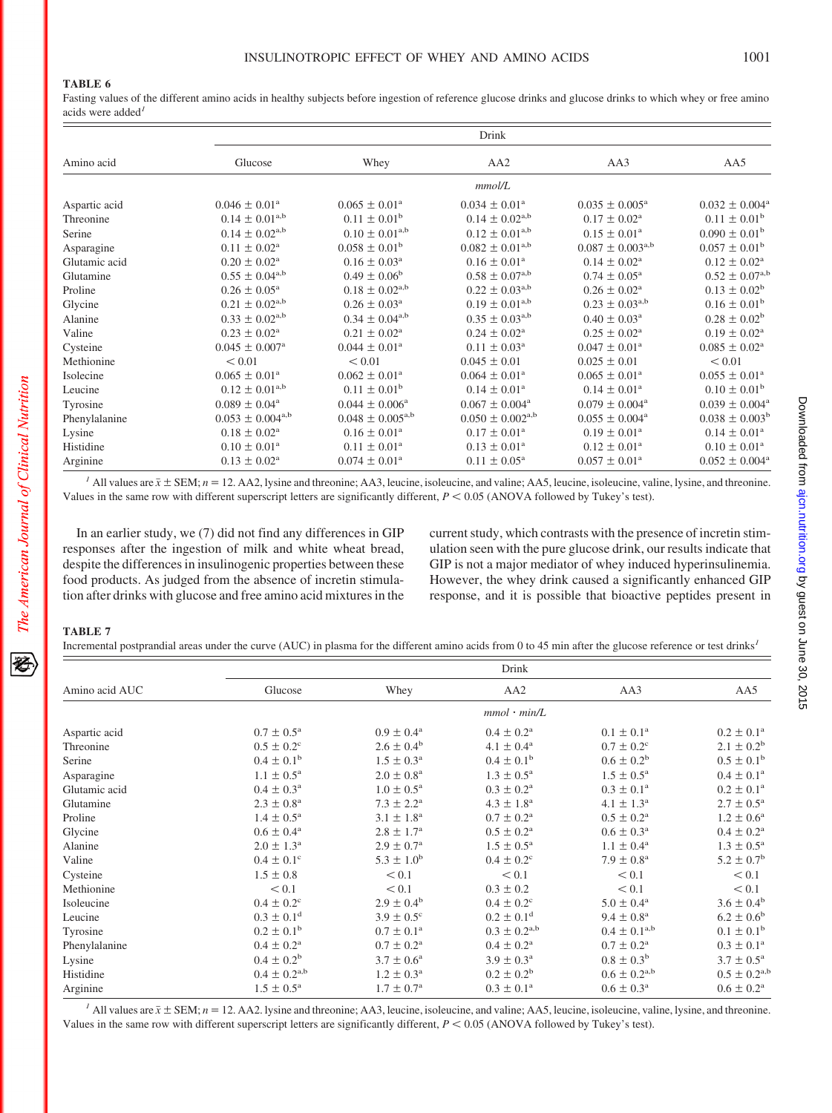Fasting values of the different amino acids in healthy subjects before ingestion of reference glucose drinks and glucose drinks to which whey or free amino acids were added*<sup>1</sup>*

|               |                                     | Drink                               |                              |                                |                                |  |  |
|---------------|-------------------------------------|-------------------------------------|------------------------------|--------------------------------|--------------------------------|--|--|
| Amino acid    | Glucose                             | Whey                                | AA <sub>2</sub>              | AA3                            | AA5                            |  |  |
|               |                                     |                                     | mmol/L                       |                                |                                |  |  |
| Aspartic acid | $0.046 \pm 0.01^{\text{a}}$         | $0.065 \pm 0.01^{\text{a}}$         | $0.034 \pm 0.01^{\circ}$     | $0.035 \pm 0.005^{\text{a}}$   | $0.032 \pm 0.004^{\circ}$      |  |  |
| Threonine     | $0.14 \pm 0.01^{a,b}$               | $0.11 \pm 0.01^{\rm b}$             | $0.14 \pm 0.02^{a,b}$        | $0.17 \pm 0.02^{\text{a}}$     | $0.11 \pm 0.01^{\rm b}$        |  |  |
| Serine        | $0.14 \pm 0.02^{a,b}$               | $0.10 \pm 0.01^{a,b}$               | $0.12 \pm 0.01^{a,b}$        | $0.15 \pm 0.01^{\text{a}}$     | $0.090 \pm 0.01^{\rm b}$       |  |  |
| Asparagine    | $0.11 \pm 0.02^{\text{a}}$          | $0.058 \pm 0.01^{\rm b}$            | $0.082 \pm 0.01^{a,b}$       | $0.087 \pm 0.003^{\text{a,b}}$ | $0.057 \pm 0.01^{\rm b}$       |  |  |
| Glutamic acid | $0.20 \pm 0.02^{\text{a}}$          | $0.16 \pm 0.03^{\text{a}}$          | $0.16 \pm 0.01^{\text{a}}$   | $0.14 \pm 0.02^{\text{a}}$     | $0.12 \pm 0.02^{\text{a}}$     |  |  |
| Glutamine     | $0.55 \pm 0.04^{\text{a},\text{b}}$ | $0.49 \pm 0.06^{\rm b}$             | $0.58\pm0.07^{\rm a,b}$      | $0.74 \pm 0.05^{\text{a}}$     | $0.52 \pm 0.07^{a,b}$          |  |  |
| Proline       | $0.26 \pm 0.05^{\text{a}}$          | $0.18 \pm 0.02^{\text{a},\text{b}}$ | $0.22 \pm 0.03^{\text{a,b}}$ | $0.26 \pm 0.02^{\text{a}}$     | $0.13 \pm 0.02^b$              |  |  |
| Glycine       | $0.21 \pm 0.02^{\text{a},\text{b}}$ | $0.26 \pm 0.03^{\text{a}}$          | $0.19 \pm 0.01^{a,b}$        | $0.23 \pm 0.03^{\text{a,b}}$   | $0.16 \pm 0.01^b$              |  |  |
| Alanine       | $0.33 \pm 0.02^{\text{a,b}}$        | $0.34 \pm 0.04^{\text{a,b}}$        | $0.35 \pm 0.03^{\text{a,b}}$ | $0.40 \pm 0.03^{\text{a}}$     | $0.28 \pm 0.02^b$              |  |  |
| Valine        | $0.23 \pm 0.02^{\rm a}$             | $0.21 \pm 0.02^{\text{a}}$          | $0.24 \pm 0.02^{\rm a}$      | $0.25 \pm 0.02^{\text{a}}$     | $0.19 \pm 0.02^{\text{a}}$     |  |  |
| Cysteine      | $0.045 \pm 0.007^{\text{a}}$        | $0.044 \pm 0.01^a$                  | $0.11 \pm 0.03^{\text{a}}$   | $0.047 \pm 0.01^{\text{a}}$    | $0.085 \pm 0.02^{\text{a}}$    |  |  |
| Methionine    | < 0.01                              | < 0.01                              | $0.045 \pm 0.01$             | $0.025 \pm 0.01$               | < 0.01                         |  |  |
| Isolecine     | $0.065 \pm 0.01^{\text{a}}$         | $0.062 \pm 0.01^{\circ}$            | $0.064 \pm 0.01^{\circ}$     | $0.065 \pm 0.01^{\circ}$       | $0.055 \pm 0.01^{\circ}$       |  |  |
| Leucine       | $0.12 \pm 0.01^{\text{a,b}}$        | $0.11 \pm 0.01^{\rm b}$             | $0.14 \pm 0.01^{\circ}$      | $0.14 \pm 0.01^{\rm a}$        | $0.10 \pm 0.01^{\rm b}$        |  |  |
| Tyrosine      | $0.089 \pm 0.04^a$                  | $0.044 \pm 0.006^{\circ}$           | $0.067 \pm 0.004^{\text{a}}$ | $0.079 \pm 0.004^{\text{a}}$   | $0.039 \pm 0.004^a$            |  |  |
| Phenylalanine | $0.053 \pm 0.004^{\text{a,b}}$      | $0.048 \pm 0.005^{a,b}$             | $0.050 \pm 0.002^{a,b}$      | $0.055 \pm 0.004^{\text{a}}$   | $0.038 \pm 0.003^b$            |  |  |
| Lysine        | $0.18 \pm 0.02^{\text{a}}$          | $0.16 \pm 0.01^a$                   | $0.17 \pm 0.01^{\text{a}}$   | $0.19 \pm 0.01^{\text{a}}$     | $0.14 \pm 0.01^{\text{a}}$     |  |  |
| Histidine     | $0.10 \pm 0.01^{\text{a}}$          | $0.11 \pm 0.01^a$                   | $0.13 \pm 0.01^{\text{a}}$   | $0.12 \pm 0.01^{\text{a}}$     | $0.10 \pm 0.01^{\text{a}}$     |  |  |
| Arginine      | $0.13 \pm 0.02^a$                   | $0.074 \pm 0.01$ <sup>a</sup>       | $0.11 \pm 0.05^{\text{a}}$   | $0.057 \pm 0.01^{\text{a}}$    | $0.052 \pm 0.004$ <sup>a</sup> |  |  |

<sup>1</sup> All values are  $\bar{x} \pm \text{SEM}$ ;  $n = 12$ . AA2, lysine and threonine; AA3, leucine, isoleucine, and valine; AA5, leucine, isoleucine, valine, lysine, and threonine. Values in the same row with different superscript letters are significantly different,  $P \le 0.05$  (ANOVA followed by Tukey's test).

In an earlier study, we (7) did not find any differences in GIP responses after the ingestion of milk and white wheat bread, despite the differences in insulinogenic properties between these food products. As judged from the absence of incretin stimulation after drinks with glucose and free amino acid mixtures in the current study, which contrasts with the presence of incretin stimulation seen with the pure glucose drink, our results indicate that GIP is not a major mediator of whey induced hyperinsulinemia. However, the whey drink caused a significantly enhanced GIP response, and it is possible that bioactive peptides present in

## **TABLE 7**

Incremental postprandial areas under the curve (AUC) in plasma for the different amino acids from 0 to 45 min after the glucose reference or test drinks*<sup>1</sup>*

|                |                            |                          | Drink                      |                          |                          |
|----------------|----------------------------|--------------------------|----------------------------|--------------------------|--------------------------|
| Amino acid AUC | Glucose                    | Whey                     | AA <sub>2</sub>            | AA3                      | AA5                      |
|                |                            | $mmol \cdot min/L$       |                            |                          |                          |
| Aspartic acid  | $0.7 \pm 0.5^{\rm a}$      | $0.9 \pm 0.4^{\text{a}}$ | $0.4 \pm 0.2^{\rm a}$      | $0.1 \pm 0.1^{\rm a}$    | $0.2 \pm 0.1^{\text{a}}$ |
| Threonine      | $0.5 \pm 0.2^{\circ}$      | $2.6 \pm 0.4^{\rm b}$    | $4.1 \pm 0.4^{\rm a}$      | $0.7 \pm 0.2^{\circ}$    | $2.1 \pm 0.2^b$          |
| Serine         | $0.4 \pm 0.1^{\rm b}$      | $1.5 \pm 0.3^{\rm a}$    | $0.4 \pm 0.1^{\rm b}$      | $0.6 \pm 0.2^b$          | $0.5 \pm 0.1^{\rm b}$    |
| Asparagine     | $1.1 \pm 0.5^{\rm a}$      | $2.0 \pm 0.8^{\rm a}$    | $1.3 \pm 0.5^{\rm a}$      | $1.5 \pm 0.5^{\rm a}$    | $0.4 \pm 0.1^{\rm a}$    |
| Glutamic acid  | $0.4 \pm 0.3^{\rm a}$      | $1.0 \pm 0.5^{\rm a}$    | $0.3 \pm 0.2^{\rm a}$      | $0.3 \pm 0.1^{\rm a}$    | $0.2 \pm 0.1^{\rm a}$    |
| Glutamine      | $2.3 \pm 0.8^{\rm a}$      | $7.3 \pm 2.2^{\rm a}$    | $4.3 \pm 1.8^{\rm a}$      | $4.1 \pm 1.3^{\rm a}$    | $2.7 \pm 0.5^{\rm a}$    |
| Proline        | $1.4 \pm 0.5^{\rm a}$      | $3.1 \pm 1.8^{\rm a}$    | $0.7 \pm 0.2^{\rm a}$      | $0.5 \pm 0.2^{\rm a}$    | $1.2 \pm 0.6^{\rm a}$    |
| Glycine        | $0.6 \pm 0.4^{\rm a}$      | $2.8 \pm 1.7^{\rm a}$    | $0.5 \pm 0.2^{\rm a}$      | $0.6 \pm 0.3^{\rm a}$    | $0.4 \pm 0.2^{\rm a}$    |
| Alanine        | $2.0 \pm 1.3^{\rm a}$      | $2.9 \pm 0.7^{\rm a}$    | $1.5 \pm 0.5^{\rm a}$      | $1.1 \pm 0.4^{\rm a}$    | $1.3 \pm 0.5^{\rm a}$    |
| Valine         | $0.4 \pm 0.1^{\circ}$      | $5.3 \pm 1.0^b$          | $0.4 \pm 0.2^{\circ}$      | $7.9 \pm 0.8^{\text{a}}$ | $5.2 \pm 0.7^{\rm b}$    |
| Cysteine       | $1.5 \pm 0.8$              | < 0.1                    | < 0.1                      | < 0.1                    | < 0.1                    |
| Methionine     | < 0.1                      | < 0.1                    | $0.3 \pm 0.2$              | < 0.1                    | < 0.1                    |
| Isoleucine     | $0.4 \pm 0.2^{\circ}$      | $2.9 \pm 0.4^{\rm b}$    | $0.4 \pm 0.2^{\circ}$      | $5.0 \pm 0.4^{\rm a}$    | $3.6 \pm 0.4^{\rm b}$    |
| Leucine        | $0.3 \pm 0.1$ <sup>d</sup> | $3.9 \pm 0.5^{\circ}$    | $0.2 \pm 0.1$ <sup>d</sup> | $9.4 \pm 0.8^{\rm a}$    | $6.2 \pm 0.6^{\rm b}$    |
| Tyrosine       | $0.2 \pm 0.1^{\rm b}$      | $0.7 \pm 0.1^{\rm a}$    | $0.3 \pm 0.2^{a,b}$        | $0.4 \pm 0.1^{a,b}$      | $0.1 \pm 0.1^{\rm b}$    |
| Phenylalanine  | $0.4 \pm 0.2^{\rm a}$      | $0.7 \pm 0.2^{\rm a}$    | $0.4 \pm 0.2^{\rm a}$      | $0.7 \pm 0.2^{\rm a}$    | $0.3 \pm 0.1^{\rm a}$    |
| Lysine         | $0.4 \pm 0.2^b$            | $3.7 \pm 0.6^{\circ}$    | $3.9 \pm 0.3^{\rm a}$      | $0.8 \pm 0.3^{\rm b}$    | $3.7 \pm 0.5^{\rm a}$    |
| Histidine      | $0.4 \pm 0.2^{a,b}$        | $1.2 \pm 0.3^{\rm a}$    | $0.2 \pm 0.2^b$            | $0.6 \pm 0.2^{a,b}$      | $0.5 \pm 0.2^{a,b}$      |
| Arginine       | $1.5 \pm 0.5^{\rm a}$      | $1.7 \pm 0.7^{\rm a}$    | $0.3 \pm 0.1^{\rm a}$      | $0.6 \pm 0.3^{\rm a}$    | $0.6 \pm 0.2^{\text{a}}$ |

<sup>1</sup> All values are  $\bar{x} \pm \text{SEM}$ ;  $n = 12$ . AA2. lysine and threonine; AA3, leucine, isoleucine, and valine; AA5, leucine, isoleucine, valine, lysine, and threonine. Values in the same row with different superscript letters are significantly different,  $P < 0.05$  (ANOVA followed by Tukey's test).

移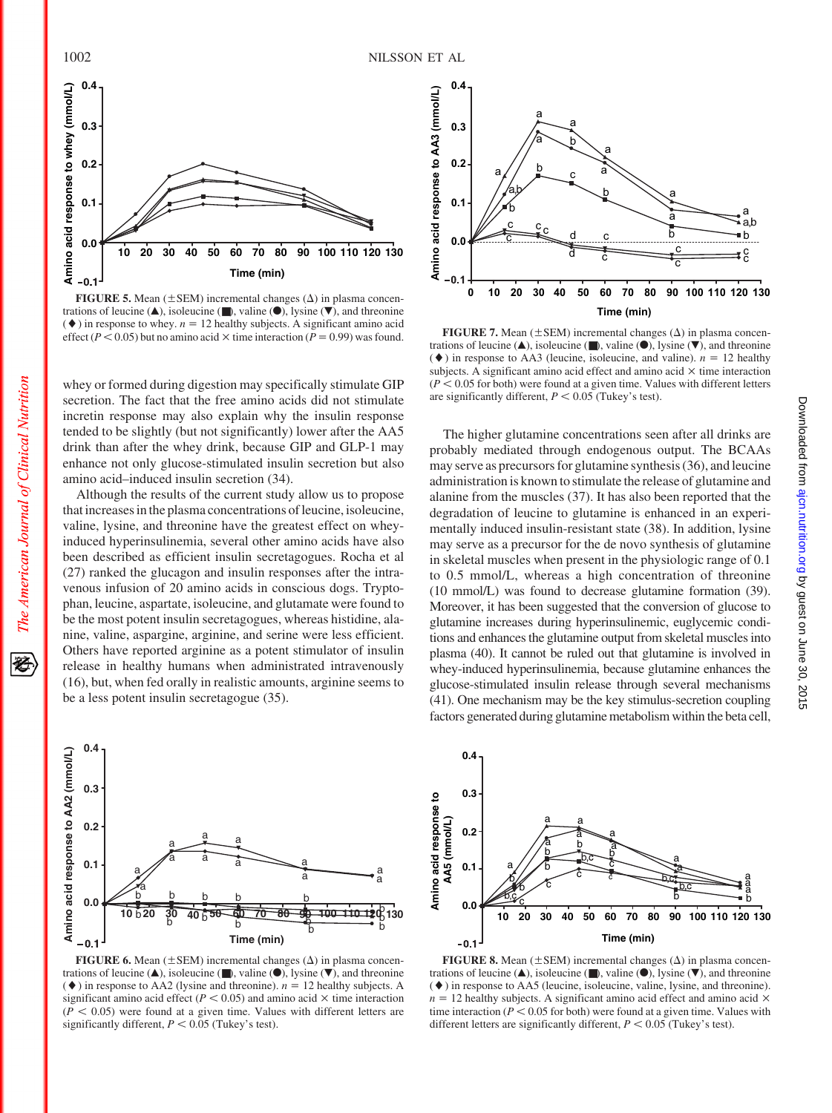

**FIGURE 5.** Mean  $(\pm$  SEM) incremental changes  $(\Delta)$  in plasma concentrations of leucine ( $\blacktriangle$ ), isoleucine ( $\blacktriangledown$ ), valine ( $\blacktriangledown$ ), lysine ( $\ntriangledown$ ), and threonine  $(\blacklozenge)$  in response to whey.  $n = 12$  healthy subjects. A significant amino acid effect ( $P < 0.05$ ) but no amino acid  $\times$  time interaction ( $P = 0.99$ ) was found.

whey or formed during digestion may specifically stimulate GIP secretion. The fact that the free amino acids did not stimulate incretin response may also explain why the insulin response tended to be slightly (but not significantly) lower after the AA5 drink than after the whey drink, because GIP and GLP-1 may enhance not only glucose-stimulated insulin secretion but also amino acid–induced insulin secretion (34).

Although the results of the current study allow us to propose that increases in the plasma concentrations of leucine, isoleucine, valine, lysine, and threonine have the greatest effect on wheyinduced hyperinsulinemia, several other amino acids have also been described as efficient insulin secretagogues. Rocha et al (27) ranked the glucagon and insulin responses after the intravenous infusion of 20 amino acids in conscious dogs. Tryptophan, leucine, aspartate, isoleucine, and glutamate were found to be the most potent insulin secretagogues, whereas histidine, alanine, valine, aspargine, arginine, and serine were less efficient. Others have reported arginine as a potent stimulator of insulin release in healthy humans when administrated intravenously (16), but, when fed orally in realistic amounts, arginine seems to be a less potent insulin secretagogue (35).



**FIGURE 6.** Mean  $(\pm$  SEM) incremental changes  $(\Delta)$  in plasma concentrations of leucine ( $\blacktriangle$ ), isoleucine ( $\blacktriangleright$ ), valine ( $\blacktriangleright$ ), lysine ( $\ntriangleright$ ), and threonine  $(\blacklozenge)$  in response to AA2 (lysine and threonine).  $n = 12$  healthy subjects. A significant amino acid effect ( $P < 0.05$ ) and amino acid  $\times$  time interaction  $(P < 0.05)$  were found at a given time. Values with different letters are significantly different,  $P < 0.05$  (Tukey's test).



**FIGURE 7.** Mean  $(\pm$  SEM) incremental changes  $(\Delta)$  in plasma concentrations of leucine ( $\blacktriangle$ ), isoleucine ( $\blacktriangleright$ ), valine ( $\blacktriangleright$ ), lysine ( $\ntriangleright$ ), and threonine  $(\blacklozenge)$  in response to AA3 (leucine, isoleucine, and valine).  $n = 12$  healthy subjects. A significant amino acid effect and amino acid  $\times$  time interaction  $(P < 0.05$  for both) were found at a given time. Values with different letters are significantly different,  $P < 0.05$  (Tukey's test).

The higher glutamine concentrations seen after all drinks are probably mediated through endogenous output. The BCAAs may serve as precursors for glutamine synthesis (36), and leucine administration is known to stimulate the release of glutamine and alanine from the muscles (37). It has also been reported that the degradation of leucine to glutamine is enhanced in an experimentally induced insulin-resistant state (38). In addition, lysine may serve as a precursor for the de novo synthesis of glutamine in skeletal muscles when present in the physiologic range of 0.1 to 0.5 mmol/L, whereas a high concentration of threonine (10 mmol/L) was found to decrease glutamine formation (39). Moreover, it has been suggested that the conversion of glucose to glutamine increases during hyperinsulinemic, euglycemic conditions and enhances the glutamine output from skeletal muscles into plasma (40). It cannot be ruled out that glutamine is involved in whey-induced hyperinsulinemia, because glutamine enhances the glucose-stimulated insulin release through several mechanisms (41). One mechanism may be the key stimulus-secretion coupling factors generated during glutamine metabolism within the beta cell,



**FIGURE 8.** Mean  $(\pm$  SEM) incremental changes  $(\Delta)$  in plasma concentrations of leucine  $(\triangle)$ , isoleucine  $(\blacksquare)$ , valine  $(\lozenge)$ , lysine  $(\blacktriangledown)$ , and threonine (-) in response to AA5 (leucine, isoleucine, valine, lysine, and threonine).  $n = 12$  healthy subjects. A significant amino acid effect and amino acid  $\times$ time interaction ( $P < 0.05$  for both) were found at a given time. Values with different letters are significantly different,  $P < 0.05$  (Tukey's test).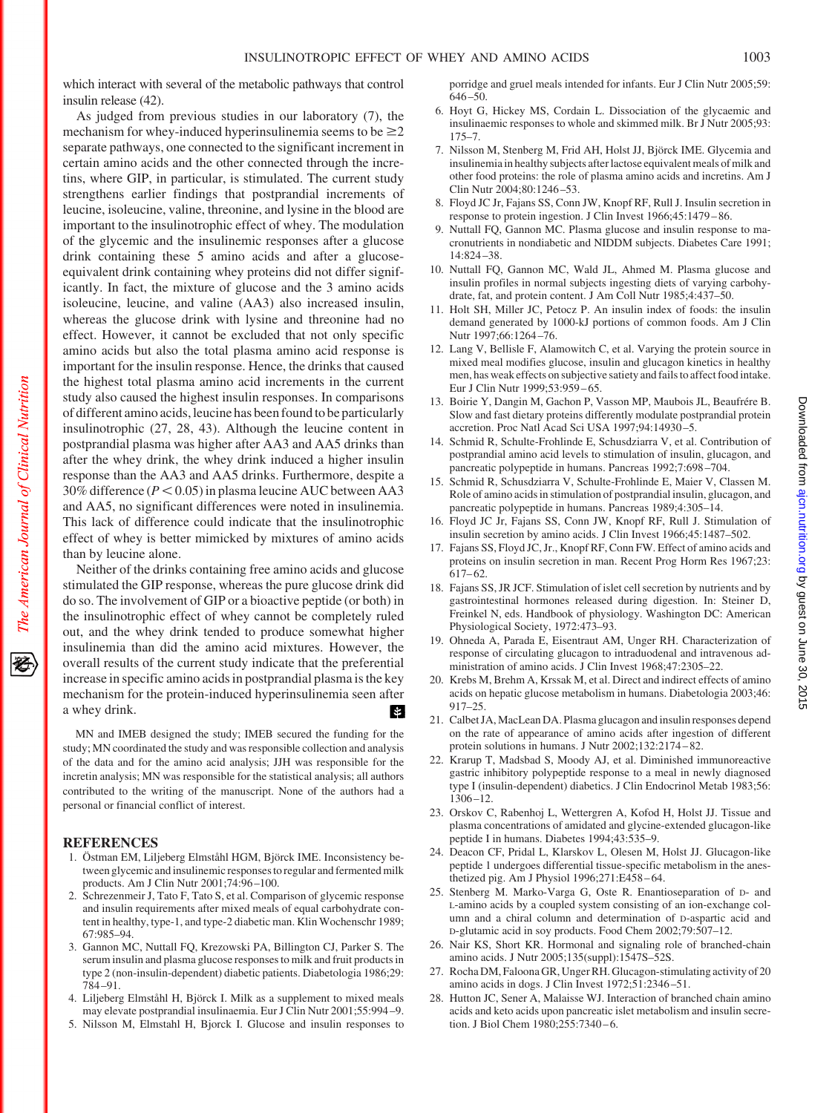which interact with several of the metabolic pathways that control insulin release (42).

As judged from previous studies in our laboratory (7), the mechanism for whey-induced hyperinsulinemia seems to be  $\geq 2$ separate pathways, one connected to the significant increment in certain amino acids and the other connected through the incretins, where GIP, in particular, is stimulated. The current study strengthens earlier findings that postprandial increments of leucine, isoleucine, valine, threonine, and lysine in the blood are important to the insulinotrophic effect of whey. The modulation of the glycemic and the insulinemic responses after a glucose drink containing these 5 amino acids and after a glucoseequivalent drink containing whey proteins did not differ significantly. In fact, the mixture of glucose and the 3 amino acids isoleucine, leucine, and valine (AA3) also increased insulin, whereas the glucose drink with lysine and threonine had no effect. However, it cannot be excluded that not only specific amino acids but also the total plasma amino acid response is important for the insulin response. Hence, the drinks that caused the highest total plasma amino acid increments in the current study also caused the highest insulin responses. In comparisons of different amino acids, leucine has been found to be particularly insulinotrophic (27, 28, 43). Although the leucine content in postprandial plasma was higher after AA3 and AA5 drinks than after the whey drink, the whey drink induced a higher insulin response than the AA3 and AA5 drinks. Furthermore, despite a  $30\%$  difference ( $P < 0.05$ ) in plasma leucine AUC between AA3 and AA5, no significant differences were noted in insulinemia. This lack of difference could indicate that the insulinotrophic effect of whey is better mimicked by mixtures of amino acids than by leucine alone.

Neither of the drinks containing free amino acids and glucose stimulated the GIP response, whereas the pure glucose drink did do so. The involvement of GIP or a bioactive peptide (or both) in the insulinotrophic effect of whey cannot be completely ruled out, and the whey drink tended to produce somewhat higher insulinemia than did the amino acid mixtures. However, the overall results of the current study indicate that the preferential increase in specific amino acids in postprandial plasma is the key mechanism for the protein-induced hyperinsulinemia seen after a whey drink. И

MN and IMEB designed the study; IMEB secured the funding for the study; MN coordinated the study and was responsible collection and analysis of the data and for the amino acid analysis; JJH was responsible for the incretin analysis; MN was responsible for the statistical analysis; all authors contributed to the writing of the manuscript. None of the authors had a personal or financial conflict of interest.

# **REFERENCES**

- 1. Östman EM, Liljeberg Elmståhl HGM, Björck IME. Inconsistency between glycemic and insulinemic responses to regular and fermented milk products. Am J Clin Nutr 2001;74:96 –100.
- 2. Schrezenmeir J, Tato F, Tato S, et al. Comparison of glycemic response and insulin requirements after mixed meals of equal carbohydrate content in healthy, type-1, and type-2 diabetic man. Klin Wochenschr 1989; 67:985–94.
- 3. Gannon MC, Nuttall FQ, Krezowski PA, Billington CJ, Parker S. The serum insulin and plasma glucose responses to milk and fruit products in type 2 (non-insulin-dependent) diabetic patients. Diabetologia 1986;29: 784 –91.
- 4. Liljeberg Elmståhl H, Björck I. Milk as a supplement to mixed meals may elevate postprandial insulinaemia. Eur J Clin Nutr 2001;55:994 –9.
- 5. Nilsson M, Elmstahl H, Bjorck I. Glucose and insulin responses to

porridge and gruel meals intended for infants. Eur J Clin Nutr 2005;59: 646 –50.

- 6. Hoyt G, Hickey MS, Cordain L. Dissociation of the glycaemic and insulinaemic responses to whole and skimmed milk. Br J Nutr 2005;93: 175–7.
- 7. Nilsson M, Stenberg M, Frid AH, Holst JJ, Björck IME. Glycemia and insulinemia in healthy subjects after lactose equivalent meals of milk and other food proteins: the role of plasma amino acids and incretins. Am J Clin Nutr 2004;80:1246 –53.
- 8. Floyd JC Jr, Fajans SS, Conn JW, Knopf RF, Rull J. Insulin secretion in response to protein ingestion. J Clin Invest 1966;45:1479 – 86.
- 9. Nuttall FQ, Gannon MC. Plasma glucose and insulin response to macronutrients in nondiabetic and NIDDM subjects. Diabetes Care 1991; 14:824 –38.
- 10. Nuttall FQ, Gannon MC, Wald JL, Ahmed M. Plasma glucose and insulin profiles in normal subjects ingesting diets of varying carbohydrate, fat, and protein content. J Am Coll Nutr 1985;4:437–50.
- 11. Holt SH, Miller JC, Petocz P. An insulin index of foods: the insulin demand generated by 1000-kJ portions of common foods. Am J Clin Nutr 1997;66:1264-76.
- 12. Lang V, Bellisle F, Alamowitch C, et al. Varying the protein source in mixed meal modifies glucose, insulin and glucagon kinetics in healthy men, has weak effects on subjective satiety and fails to affect food intake. Eur J Clin Nutr 1999;53:959 – 65.
- 13. Boirie Y, Dangin M, Gachon P, Vasson MP, Maubois JL, Beaufrére B. Slow and fast dietary proteins differently modulate postprandial protein accretion. Proc Natl Acad Sci USA 1997;94:14930 –5.
- 14. Schmid R, Schulte-Frohlinde E, Schusdziarra V, et al. Contribution of postprandial amino acid levels to stimulation of insulin, glucagon, and pancreatic polypeptide in humans. Pancreas 1992;7:698 –704.
- 15. Schmid R, Schusdziarra V, Schulte-Frohlinde E, Maier V, Classen M. Role of amino acids in stimulation of postprandial insulin, glucagon, and pancreatic polypeptide in humans. Pancreas 1989;4:305–14.
- 16. Floyd JC Jr, Fajans SS, Conn JW, Knopf RF, Rull J. Stimulation of insulin secretion by amino acids. J Clin Invest 1966;45:1487–502.
- 17. Fajans SS, Floyd JC, Jr., Knopf RF, Conn FW. Effect of amino acids and proteins on insulin secretion in man. Recent Prog Horm Res 1967;23: 617– 62.
- 18. Fajans SS, JR JCF. Stimulation of islet cell secretion by nutrients and by gastrointestinal hormones released during digestion. In: Steiner D, Freinkel N, eds. Handbook of physiology. Washington DC: American Physiological Society, 1972:473–93.
- 19. Ohneda A, Parada E, Eisentraut AM, Unger RH. Characterization of response of circulating glucagon to intraduodenal and intravenous administration of amino acids. J Clin Invest 1968;47:2305–22.
- 20. Krebs M, Brehm A, Krssak M, et al. Direct and indirect effects of amino acids on hepatic glucose metabolism in humans. Diabetologia 2003;46: 917–25.
- 21. Calbet JA,MacLean DA. Plasma glucagon and insulin responses depend on the rate of appearance of amino acids after ingestion of different protein solutions in humans. J Nutr 2002;132:2174 – 82.
- 22. Krarup T, Madsbad S, Moody AJ, et al. Diminished immunoreactive gastric inhibitory polypeptide response to a meal in newly diagnosed type I (insulin-dependent) diabetics. J Clin Endocrinol Metab 1983;56:  $1306 - 12$ .
- 23. Orskov C, Rabenhoj L, Wettergren A, Kofod H, Holst JJ. Tissue and plasma concentrations of amidated and glycine-extended glucagon-like peptide I in humans. Diabetes 1994;43:535–9.
- 24. Deacon CF, Pridal L, Klarskov L, Olesen M, Holst JJ. Glucagon-like peptide 1 undergoes differential tissue-specific metabolism in the anesthetized pig. Am J Physiol 1996;271:E458 – 64.
- 25. Stenberg M. Marko-Varga G, Oste R. Enantioseparation of D- and L-amino acids by a coupled system consisting of an ion-exchange column and a chiral column and determination of D-aspartic acid and D-glutamic acid in soy products. Food Chem 2002;79:507–12.
- 26. Nair KS, Short KR. Hormonal and signaling role of branched-chain amino acids. J Nutr 2005;135(suppl):1547S–52S.
- 27. Rocha DM, Faloona GR, Unger RH. Glucagon-stimulating activity of 20 amino acids in dogs. J Clin Invest 1972;51:2346 –51.
- 28. Hutton JC, Sener A, Malaisse WJ. Interaction of branched chain amino acids and keto acids upon pancreatic islet metabolism and insulin secretion. J Biol Chem 1980;255:7340-6.